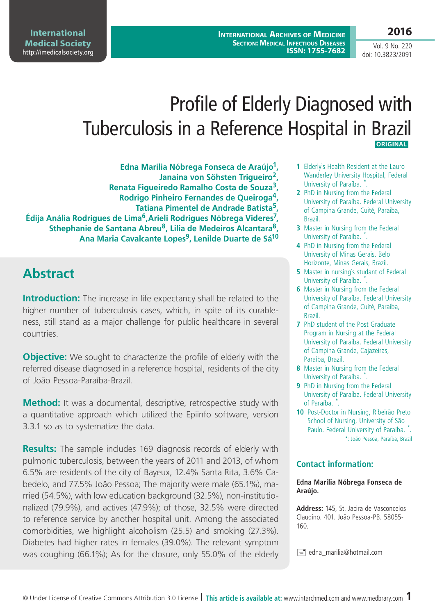**International Archives of Medicine Section: Medical Infectious Diseases ISSN: 1755-7682**

# Profile of Elderly Diagnosed with Tuberculosis in a Reference Hospital in Brazil  **ORIGINAL**

**Edna Marília Nóbrega Fonseca de Araújo1, Janaína von Söhsten Trigueiro2, Renata Figueiredo Ramalho Costa de Souza3, Rodrigo Pinheiro Fernandes de Queiroga4, Tatiana Pimentel de Andrade Batista5, Édija Anália Rodrigues de Lima6,Arieli Rodrigues Nóbrega Videres7, Sthephanie de Santana Abreu8, Lilia de Medeiros Alcantara8,**  Ana Maria Cavalcante Lopes<sup>9</sup>, Lenilde Duarte de Sá<sup>10</sup>

### **Abstract**

**Introduction:** The increase in life expectancy shall be related to the higher number of tuberculosis cases, which, in spite of its curableness, still stand as a major challenge for public healthcare in several countries.

**Objective:** We sought to characterize the profile of elderly with the referred disease diagnosed in a reference hospital, residents of the city of João Pessoa-Paraíba-Brazil.

**Method:** It was a documental, descriptive, retrospective study with a quantitative approach which utilized the Epiinfo software, version 3.3.1 so as to systematize the data.

**Results:** The sample includes 169 diagnosis records of elderly with pulmonic tuberculosis, between the years of 2011 and 2013, of whom 6.5% are residents of the city of Bayeux, 12.4% Santa Rita, 3.6% Cabedelo, and 77.5% João Pessoa; The majority were male (65.1%), married (54.5%), with low education background (32.5%), non-institutionalized (79.9%), and actives (47.9%); of those, 32.5% were directed to reference service by another hospital unit. Among the associated comorbidities, we highlight alcoholism (25.5) and smoking (27.3%). Diabetes had higher rates in females (39.0%). The relevant symptom was coughing (66.1%); As for the closure, only 55.0% of the elderly

- **1** Elderly`s Health Resident at the Lauro Wanderley University Hospital, Federal University of Paraíba. \*.
- **2** PhD in Nursing from the Federal University of Paraíba. Federal University of Campina Grande, Cuité, Paraiba, Brazil.
- **3** Master in Nursing from the Federal University of Paraíba. \*.
- **4** PhD in Nursing from the Federal University of Minas Gerais. Belo Horizonte, Minas Gerais, Brazil.
- **5** Master in nursing`s studant of Federal University of Paraíba. \*.
- **6** Master in Nursing from the Federal University of Paraíba. Federal University of Campina Grande, Cuité, Paraiba, Brazil.
- **7** PhD student of the Post Graduate Program in Nursing at the Federal University of Paraiba. Federal University of Campina Grande, Cajazeiras, Paraíba, Brazil.
- **8** Master in Nursing from the Federal University of Paraíba. \*.
- **9** PhD in Nursing from the Federal University of Paraíba. Federal University of Paraíba. \* .
- **10** Post-Doctor in Nursing, Ribeirão Preto School of Nursing, University of São Paulo. Federal University of Paraíba. \*. \*: João Pessoa, Paraíba, Brazil

#### **Contact information:**

#### **Edna Marília Nóbrega Fonseca de Araújo.**

**Address:** 145, St. Jacira de Vasconcelos Claudino. 401. João Pessoa-PB. 58055- 160.

 $\equiv$  edna\_marilia@hotmail.com

Vol. 9 No. 220 doi: 10.3823/2091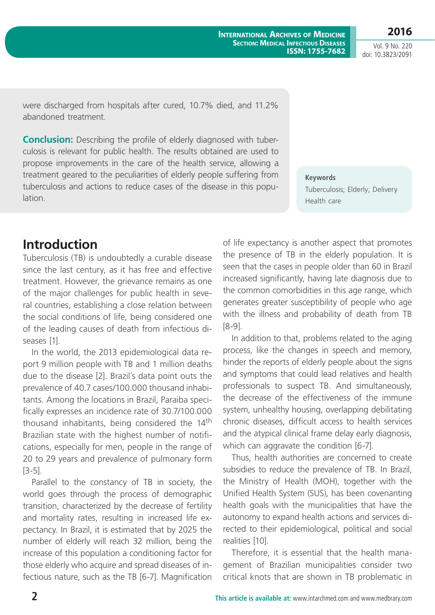Tuberculosis; Elderly; Delivery Health care

were discharged from hospitals after cured, 10.7% died, and 11.2% abandoned treatment.

**Conclusion:** Describing the profile of elderly diagnosed with tuberculosis is relevant for public health. The results obtained are used to propose improvements in the care of the health service, allowing a treatment geared to the peculiarities of elderly people suffering from tuberculosis and actions to reduce cases of the disease in this population.

### **Introduction**

Tuberculosis (TB) is undoubtedly a curable disease since the last century, as it has free and effective treatment. However, the grievance remains as one of the major challenges for public health in several countries, establishing a close relation between the social conditions of life, being considered one of the leading causes of death from infectious diseases [1].

In the world, the 2013 epidemiological data report 9 million people with TB and 1 million deaths due to the disease [2]. Brazil´s data point outs the prevalence of 40.7 cases/100.000 thousand inhabitants. Among the locations in Brazil, Paraiba specifically expresses an incidence rate of 30.7/100.000 thousand inhabitants, being considered the 14<sup>th</sup> Brazilian state with the highest number of notifications, especially for men, people in the range of 20 to 29 years and prevalence of pulmonary form [3-5].

Parallel to the constancy of TB in society, the world goes through the process of demographic transition, characterized by the decrease of fertility and mortality rates, resulting in increased life expectancy. In Brazil, it is estimated that by 2025 the number of elderly will reach 32 million, being the increase of this population a conditioning factor for those elderly who acquire and spread diseases of infectious nature, such as the TB [6-7]. Magnification of life expectancy is another aspect that promotes the presence of TB in the elderly population. It is seen that the cases in people older than 60 in Brazil increased significantly, having late diagnosis due to the common comorbidities in this age range, which generates greater susceptibility of people who age with the illness and probability of death from TB [8-9].

**Keywords**

In addition to that, problems related to the aging process, like the changes in speech and memory, hinder the reports of elderly people about the signs and symptoms that could lead relatives and health professionals to suspect TB. And simultaneously, the decrease of the effectiveness of the immune system, unhealthy housing, overlapping debilitating chronic diseases, difficult access to health services and the atypical clinical frame delay early diagnosis, which can aggravate the condition [6-7].

Thus, health authorities are concerned to create subsidies to reduce the prevalence of TB. In Brazil, the Ministry of Health (MOH), together with the Unified Health System (SUS), has been covenanting health goals with the municipalities that have the autonomy to expand health actions and services directed to their epidemiological, political and social realities [10].

Therefore, it is essential that the health management of Brazilian municipalities consider two critical knots that are shown in TB problematic in

Vol. 9 No. 220 doi: 10.3823/2091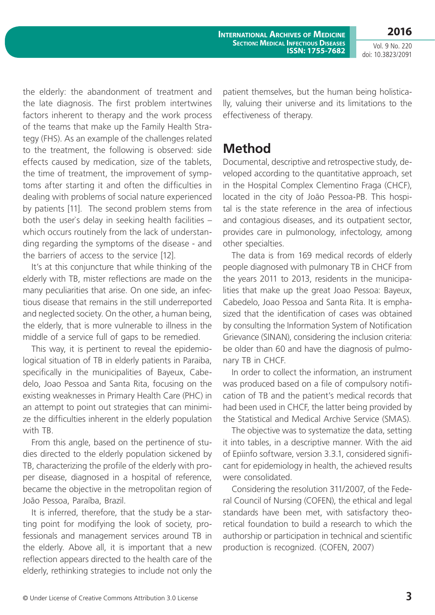**International Archives of Medicine Section: Medical Infectious Diseases ISSN: 1755-7682**

Vol. 9 No. 220 doi: 10.3823/2091

**2016**

the elderly: the abandonment of treatment and the late diagnosis. The first problem intertwines factors inherent to therapy and the work process of the teams that make up the Family Health Strategy (FHS). As an example of the challenges related to the treatment, the following is observed: side effects caused by medication, size of the tablets, the time of treatment, the improvement of symptoms after starting it and often the difficulties in dealing with problems of social nature experienced by patients [11]. The second problem stems from both the user`s delay in seeking health facilities – which occurs routinely from the lack of understanding regarding the symptoms of the disease - and the barriers of access to the service [12].

It's at this conjuncture that while thinking of the elderly with TB, mister reflections are made on the many peculiarities that arise. On one side, an infectious disease that remains in the still underreported and neglected society. On the other, a human being, the elderly, that is more vulnerable to illness in the middle of a service full of gaps to be remedied.

This way, it is pertinent to reveal the epidemiological situation of TB in elderly patients in Paraiba, specifically in the municipalities of Bayeux, Cabedelo, Joao Pessoa and Santa Rita, focusing on the existing weaknesses in Primary Health Care (PHC) in an attempt to point out strategies that can minimize the difficulties inherent in the elderly population with TB.

From this angle, based on the pertinence of studies directed to the elderly population sickened by TB, characterizing the profile of the elderly with proper disease, diagnosed in a hospital of reference, became the objective in the metropolitan region of João Pessoa, Paraíba, Brazil.

It is inferred, therefore, that the study be a starting point for modifying the look of society, professionals and management services around TB in the elderly. Above all, it is important that a new reflection appears directed to the health care of the elderly, rethinking strategies to include not only the patient themselves, but the human being holistically, valuing their universe and its limitations to the effectiveness of therapy.

### **Method**

Documental, descriptive and retrospective study, developed according to the quantitative approach, set in the Hospital Complex Clementino Fraga (CHCF), located in the city of João Pessoa-PB. This hospital is the state reference in the area of infectious and contagious diseases, and its outpatient sector, provides care in pulmonology, infectology, among other specialties.

The data is from 169 medical records of elderly people diagnosed with pulmonary TB in CHCF from the years 2011 to 2013, residents in the municipalities that make up the great Joao Pessoa: Bayeux, Cabedelo, Joao Pessoa and Santa Rita. It is emphasized that the identification of cases was obtained by consulting the Information System of Notification Grievance (SINAN), considering the inclusion criteria: be older than 60 and have the diagnosis of pulmonary TB in CHCF.

In order to collect the information, an instrument was produced based on a file of compulsory notification of TB and the patient's medical records that had been used in CHCF, the latter being provided by the Statistical and Medical Archive Service (SMAS).

The objective was to systematize the data, setting it into tables, in a descriptive manner. With the aid of Epiinfo software, version 3.3.1, considered significant for epidemiology in health, the achieved results were consolidated.

Considering the resolution 311/2007, of the Federal Council of Nursing (COFEN), the ethical and legal standards have been met, with satisfactory theoretical foundation to build a research to which the authorship or participation in technical and scientific production is recognized. (COFEN, 2007)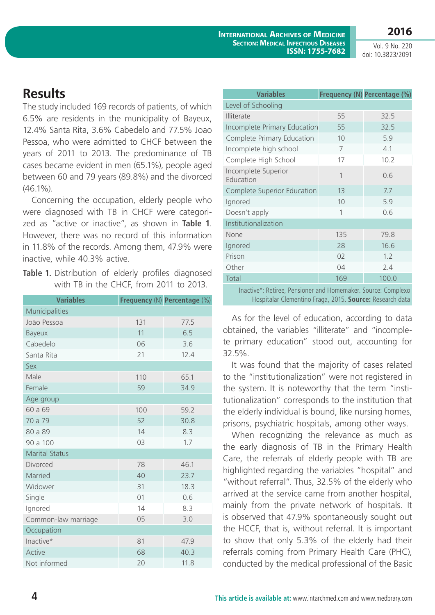### **2016**

Vol. 9 No. 220 doi: 10.3823/2091

### **Results**

The study included 169 records of patients, of which 6.5% are residents in the municipality of Bayeux, 12.4% Santa Rita, 3.6% Cabedelo and 77.5% Joao Pessoa, who were admitted to CHCF between the years of 2011 to 2013. The predominance of TB cases became evident in men (65.1%), people aged between 60 and 79 years (89.8%) and the divorced  $(46.1\%)$ .

Concerning the occupation, elderly people who were diagnosed with TB in CHCF were categorized as "active or inactive", as shown in **Table 1**. However, there was no record of this information in 11.8% of the records. Among them, 47.9% were inactive, while 40.3% active.

Table 1. Distribution of elderly profiles diagnosed with TB in the CHCF, from 2011 to 2013.

| <b>Variables</b>      |     | Frequency (N) Percentage (%) |
|-----------------------|-----|------------------------------|
| Municipalities        |     |                              |
| João Pessoa           | 131 | 77.5                         |
| Bayeux                | 11  | 6.5                          |
| Cabedelo              | 06  | 3.6                          |
| Santa Rita            | 21  | 12.4                         |
| Sex                   |     |                              |
| Male                  | 110 | 65.1                         |
| Female                | 59  | 34.9                         |
| Age group             |     |                              |
| 60 a 69               | 100 | 59.2                         |
| 70 a 79               | 52  | 30.8                         |
| 80 a 89               | 14  | 8.3                          |
| 90 a 100              | 03  | 1.7                          |
| <b>Marital Status</b> |     |                              |
| Divorced              | 78  | 46.1                         |
| Married               | 40  | 23.7                         |
| Widower               | 31  | 18.3                         |
| Single                | 01  | 0.6                          |
| Ignored               | 14  | 8.3                          |
| Common-law marriage   | 05  | 3.0                          |
| Occupation            |     |                              |
| Inactive*             | 81  | 47.9                         |
| Active                | 68  | 40.3                         |
| Not informed          | 20  | 11.8                         |

| <b>Variables</b>                                           |     | Frequency (N) Percentage (%) |  |  |  |  |  |
|------------------------------------------------------------|-----|------------------------------|--|--|--|--|--|
| Level of Schooling                                         |     |                              |  |  |  |  |  |
| <b>Illiterate</b>                                          | 55  | 32.5                         |  |  |  |  |  |
| Incomplete Primary Education                               | 55  | 32.5                         |  |  |  |  |  |
| Complete Primary Education                                 | 10  | 5.9                          |  |  |  |  |  |
| Incomplete high school                                     | 7   | 4.1                          |  |  |  |  |  |
| Complete High School                                       | 17  | 10.2                         |  |  |  |  |  |
| Incomplete Superior<br>Education                           | 1   | 0.6                          |  |  |  |  |  |
| Complete Superior Education                                | 13  | 7.7                          |  |  |  |  |  |
| Ignored                                                    | 10  | 5.9                          |  |  |  |  |  |
| Doesn't apply                                              | 1   | 0.6                          |  |  |  |  |  |
| Institutionalization                                       |     |                              |  |  |  |  |  |
| None                                                       | 135 | 79.8                         |  |  |  |  |  |
| Ignored                                                    | 28  | 16.6                         |  |  |  |  |  |
| Prison                                                     | 02  | 1.2                          |  |  |  |  |  |
| Other                                                      | 04  | 2.4                          |  |  |  |  |  |
| Total                                                      | 169 | 100.0                        |  |  |  |  |  |
| Jacob, at Detires Department and Homemaker Course Complete |     |                              |  |  |  |  |  |

 Inactive\*: Retiree, Pensioner and Homemaker. Source: Complexo Hospitalar Clementino Fraga, 2015. **Source:** Research data

As for the level of education, according to data obtained, the variables "illiterate" and "incomplete primary education" stood out, accounting for 32.5%.

It was found that the majority of cases related to the "institutionalization" were not registered in the system. It is noteworthy that the term "institutionalization" corresponds to the institution that the elderly individual is bound, like nursing homes, prisons, psychiatric hospitals, among other ways.

When recognizing the relevance as much as the early diagnosis of TB in the Primary Health Care, the referrals of elderly people with TB are highlighted regarding the variables "hospital" and "without referral". Thus, 32.5% of the elderly who arrived at the service came from another hospital, mainly from the private network of hospitals. It is observed that 47.9% spontaneously sought out the HCCF, that is, without referral. It is important to show that only 5.3% of the elderly had their referrals coming from Primary Health Care (PHC), conducted by the medical professional of the Basic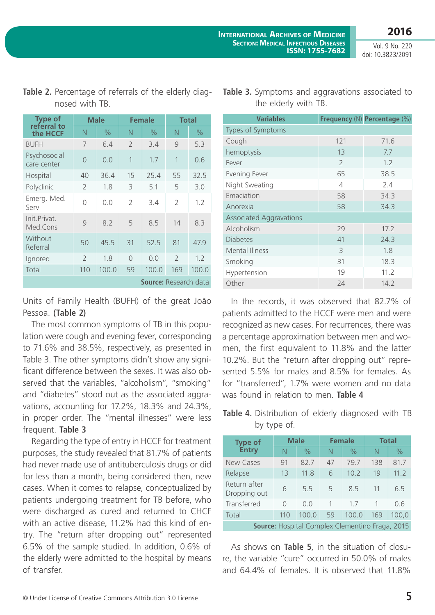the elderly with TB.

Vol. 9 No. 220 doi: 10.3823/2091

| <b>Type of</b><br>referral to | <b>Male</b>    |       | <b>Female</b>            |                              | <b>Total</b>  |       |
|-------------------------------|----------------|-------|--------------------------|------------------------------|---------------|-------|
| the HCCF                      | N              | $\%$  | N                        | $\%$                         | N             | $\%$  |
| <b>BUFH</b>                   | 7              | 6.4   | $\overline{\phantom{a}}$ | 3.4                          | 9             | 5.3   |
| Psychosocial<br>care center   | $\Omega$       | 0.0   | 1                        | 1.7                          | 1             | 0.6   |
| Hospital                      | 40             | 36.4  | 15                       | 25.4                         | 55            | 32.5  |
| Polyclinic                    | $\mathcal{P}$  | 1.8   | 3                        | 5.1                          | 5             | 3.0   |
| Emerg. Med.<br>Serv           | 0              | 0.0   | $\overline{2}$           | 3.4                          | $\mathcal{P}$ | 1.2   |
| Init.Privat.<br>Med.Cons      | 9              | 8.2   | 5                        | 8.5                          | 14            | 8.3   |
| Without<br>Referral           | 50             | 45.5  | 31                       | 52.5                         | 81            | 47.9  |
| Ignored                       | $\overline{2}$ | 1.8   | $\Omega$                 | 0.0                          | $\mathcal{P}$ | 1.2   |
| Total                         | 110            | 100.0 | 59                       | 100.0                        | 169           | 100.0 |
|                               |                |       |                          | <b>Source:</b> Research data |               |       |

### **Table 2.** Percentage of referrals of the elderly diagnosed with TB.

Units of Family Health (BUFH) of the great João Pessoa. **(Table 2)**

The most common symptoms of TB in this population were cough and evening fever, corresponding to 71.6% and 38.5%, respectively, as presented in Table 3. The other symptoms didn't show any significant difference between the sexes. It was also observed that the variables, "alcoholism", "smoking" and "diabetes" stood out as the associated aggravations, accounting for 17.2%, 18.3% and 24.3%, in proper order. The "mental illnesses" were less frequent. **Table 3**

Regarding the type of entry in HCCF for treatment purposes, the study revealed that 81.7% of patients had never made use of antituberculosis drugs or did for less than a month, being considered then, new cases. When it comes to relapse, conceptualized by patients undergoing treatment for TB before, who were discharged as cured and returned to CHCF with an active disease, 11.2% had this kind of entry. The "return after dropping out" represented 6.5% of the sample studied. In addition, 0.6% of the elderly were admitted to the hospital by means of transfer.

| <b>Variables</b>               |                | Frequency (N) Percentage (%) |  |  |  |  |  |
|--------------------------------|----------------|------------------------------|--|--|--|--|--|
| Types of Symptoms              |                |                              |  |  |  |  |  |
| Cough                          | 121            | 71.6                         |  |  |  |  |  |
| hemoptysis                     | 13             | 7.7                          |  |  |  |  |  |
| Fever                          | $\overline{2}$ | 1.2                          |  |  |  |  |  |
| Evening Fever                  | 65             | 38.5                         |  |  |  |  |  |
| Night Sweating                 | 4              | 2.4                          |  |  |  |  |  |
| Emaciation                     | 58             | 34.3                         |  |  |  |  |  |
| Anorexia                       | 58             | 34.3                         |  |  |  |  |  |
| <b>Associated Aggravations</b> |                |                              |  |  |  |  |  |
| Alcoholism                     | 29             | 17.2                         |  |  |  |  |  |
| <b>Diabetes</b>                | 41             | 24.3                         |  |  |  |  |  |
| Mental Illness                 | 3              | 1.8                          |  |  |  |  |  |
| Smoking                        | 31             | 18.3                         |  |  |  |  |  |
| Hypertension                   | 19             | 11.2                         |  |  |  |  |  |
| Other                          | 24             | 14.2                         |  |  |  |  |  |

**Table 3.** Symptoms and aggravations associated to

In the records, it was observed that 82.7% of patients admitted to the HCCF were men and were recognized as new cases. For recurrences, there was a percentage approximation between men and women, the first equivalent to 11.8% and the latter 10.2%. But the "return after dropping out" represented 5.5% for males and 8.5% for females. As for "transferred", 1.7% were women and no data was found in relation to men. **Table 4**

### **Table 4.** Distribution of elderly diagnosed with TB by type of.

| <b>Type of</b>                                         | <b>Male</b> |               | <b>Female</b> |       | <b>Total</b> |       |
|--------------------------------------------------------|-------------|---------------|---------------|-------|--------------|-------|
| <b>Entry</b>                                           | N           | $\frac{0}{0}$ | N             | $\%$  | N            | $\%$  |
| New Cases                                              | 91          | 82.7          | 47            | 79.7  | 138          | 81.7  |
| Relapse                                                | 13          | 11.8          | 6             | 10.2  | 19           | 11.2  |
| Return after<br>Dropping out                           | 6           | 5.5           | 5             | 8.5   | 11           | 6.5   |
| Transferred                                            | 0           | 0.0           | $\mathbf{1}$  | 17    |              | 0.6   |
| Total                                                  | 110         | 100.0         | 59            | 100.0 | 169          | 100,0 |
| <b>Source:</b> Hospital Complex Clementino Fraga, 2015 |             |               |               |       |              |       |

As shows on **Table 5**, in the situation of closure, the variable "cure" occurred in 50.0% of males and 64.4% of females. It is observed that 11.8%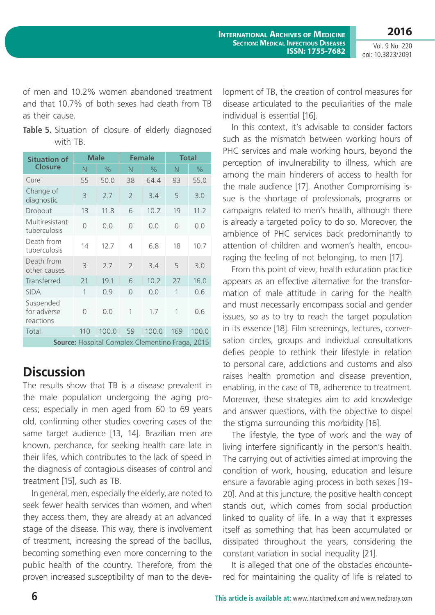of men and 10.2% women abandoned treatment and that 10.7% of both sexes had death from TB as their cause.

Table 5. Situation of closure of elderly diagnosed with TB.

| <b>Situation of</b>                             | <b>Male</b>  |               | <b>Female</b>            |       | <b>Total</b> |       |
|-------------------------------------------------|--------------|---------------|--------------------------|-------|--------------|-------|
| <b>Closure</b>                                  | N            | $\frac{0}{0}$ | N                        | $\%$  | N            | $\%$  |
| Cure                                            | 55           | 50.0          | 38                       | 64.4  | 93           | 55.0  |
| Change of<br>diagnostic                         | 3            | 2.7           | $\overline{2}$           | 3.4   | 5            | 3.0   |
| Dropout                                         | 13           | 11.8          | 6                        | 10.2  | 19           | 11.2  |
| Multiresistant<br>tuberculosis                  | 0            | 0.0           | $\overline{0}$           | 0.0   | 0            | 0.0   |
| Death from<br>tuberculosis                      | 14           | 12.7          | 4                        | 6.8   | 18           | 10.7  |
| Death from<br>other causes                      | 3            | 2.7           | $\overline{\phantom{a}}$ | 3.4   | 5            | 3.0   |
| Transferred                                     | 21           | 19.1          | 6                        | 10.2  | 27           | 16.0  |
| <b>SIDA</b>                                     | $\mathbf{1}$ | 0.9           | $\overline{0}$           | 0.0   | 1            | 0.6   |
| Suspended<br>for adverse<br>reactions           | 0            | 0.0           | 1                        | 1.7   | 1            | 0.6   |
| Total                                           | 110          | 100.0         | 59                       | 100.0 | 169          | 100.0 |
| Source: Hospital Complex Clementino Fraga, 2015 |              |               |                          |       |              |       |

### **Discussion**

The results show that TB is a disease prevalent in the male population undergoing the aging process; especially in men aged from 60 to 69 years old, confirming other studies covering cases of the same target audience [13, 14]. Brazilian men are known, perchance, for seeking health care late in their lifes, which contributes to the lack of speed in the diagnosis of contagious diseases of control and treatment [15], such as TB.

In general, men, especially the elderly, are noted to seek fewer health services than women, and when they access them, they are already at an advanced stage of the disease. This way, there is involvement of treatment, increasing the spread of the bacillus, becoming something even more concerning to the public health of the country. Therefore, from the proven increased susceptibility of man to the development of TB, the creation of control measures for disease articulated to the peculiarities of the male individual is essential [16].

In this context, it's advisable to consider factors such as the mismatch between working hours of PHC services and male working hours, beyond the perception of invulnerability to illness, which are among the main hinderers of access to health for the male audience [17]. Another Compromising issue is the shortage of professionals, programs or campaigns related to men's health, although there is already a targeted policy to do so. Moreover, the ambience of PHC services back predominantly to attention of children and women's health, encouraging the feeling of not belonging, to men [17].

From this point of view, health education practice appears as an effective alternative for the transformation of male attitude in caring for the health and must necessarily encompass social and gender issues, so as to try to reach the target population in its essence [18]. Film screenings, lectures, conversation circles, groups and individual consultations defies people to rethink their lifestyle in relation to personal care, addictions and customs and also raises health promotion and disease prevention, enabling, in the case of TB, adherence to treatment. Moreover, these strategies aim to add knowledge and answer questions, with the objective to dispel the stigma surrounding this morbidity [16].

The lifestyle, the type of work and the way of living interfere significantly in the person's health. The carrying out of activities aimed at improving the condition of work, housing, education and leisure ensure a favorable aging process in both sexes [19- 20]. And at this juncture, the positive health concept stands out, which comes from social production linked to quality of life. In a way that it expresses itself as something that has been accumulated or dissipated throughout the years, considering the constant variation in social inequality [21].

It is alleged that one of the obstacles encountered for maintaining the quality of life is related to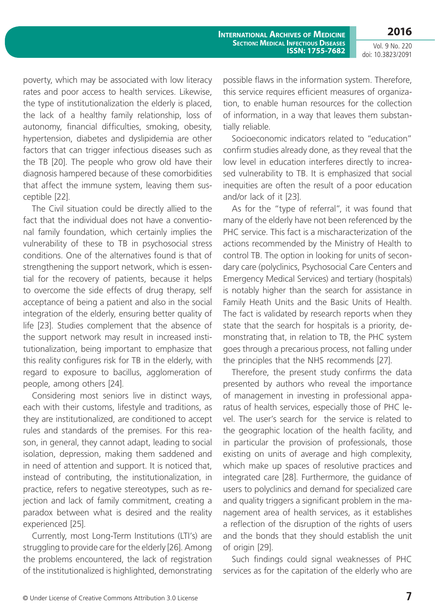**2016**

poverty, which may be associated with low literacy rates and poor access to health services. Likewise, the type of institutionalization the elderly is placed, the lack of a healthy family relationship, loss of autonomy, financial difficulties, smoking, obesity, hypertension, diabetes and dyslipidemia are other factors that can trigger infectious diseases such as the TB [20]. The people who grow old have their diagnosis hampered because of these comorbidities that affect the immune system, leaving them susceptible [22].

The Civil situation could be directly allied to the fact that the individual does not have a conventional family foundation, which certainly implies the vulnerability of these to TB in psychosocial stress conditions. One of the alternatives found is that of strengthening the support network, which is essential for the recovery of patients, because it helps to overcome the side effects of drug therapy, self acceptance of being a patient and also in the social integration of the elderly, ensuring better quality of life [23]. Studies complement that the absence of the support network may result in increased institutionalization, being important to emphasize that this reality configures risk for TB in the elderly, with regard to exposure to bacillus, agglomeration of people, among others [24].

Considering most seniors live in distinct ways, each with their customs, lifestyle and traditions, as they are institutionalized, are conditioned to accept rules and standards of the premises. For this reason, in general, they cannot adapt, leading to social isolation, depression, making them saddened and in need of attention and support. It is noticed that, instead of contributing, the institutionalization, in practice, refers to negative stereotypes, such as rejection and lack of family commitment, creating a paradox between what is desired and the reality experienced [25].

Currently, most Long-Term Institutions (LTI's) are struggling to provide care for the elderly [26]. Among the problems encountered, the lack of registration of the institutionalized is highlighted, demonstrating possible flaws in the information system. Therefore, this service requires efficient measures of organization, to enable human resources for the collection of information, in a way that leaves them substantially reliable.

Socioeconomic indicators related to "education" confirm studies already done, as they reveal that the low level in education interferes directly to increased vulnerability to TB. It is emphasized that social inequities are often the result of a poor education and/or lack of it [23].

As for the "type of referral", it was found that many of the elderly have not been referenced by the PHC service. This fact is a mischaracterization of the actions recommended by the Ministry of Health to control TB. The option in looking for units of secondary care (polyclinics, Psychosocial Care Centers and Emergency Medical Services) and tertiary (hospitals) is notably higher than the search for assistance in Family Heath Units and the Basic Units of Health. The fact is validated by research reports when they state that the search for hospitals is a priority, demonstrating that, in relation to TB, the PHC system goes through a precarious process, not falling under the principles that the NHS recommends [27].

Therefore, the present study confirms the data presented by authors who reveal the importance of management in investing in professional apparatus of health services, especially those of PHC level. The user's search for the service is related to the geographic location of the health facility, and in particular the provision of professionals, those existing on units of average and high complexity, which make up spaces of resolutive practices and integrated care [28]. Furthermore, the guidance of users to polyclinics and demand for specialized care and quality triggers a significant problem in the management area of health services, as it establishes a reflection of the disruption of the rights of users and the bonds that they should establish the unit of origin [29].

Such findings could signal weaknesses of PHC services as for the capitation of the elderly who are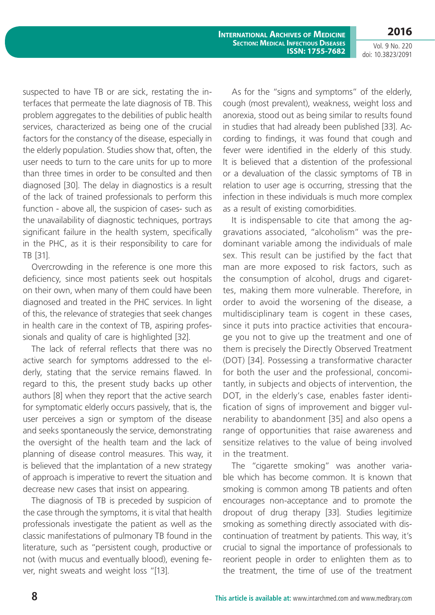**2016**

Vol. 9 No. 220 doi: 10.3823/2091

suspected to have TB or are sick, restating the interfaces that permeate the late diagnosis of TB. This problem aggregates to the debilities of public health services, characterized as being one of the crucial factors for the constancy of the disease, especially in the elderly population. Studies show that, often, the user needs to turn to the care units for up to more than three times in order to be consulted and then diagnosed [30]. The delay in diagnostics is a result of the lack of trained professionals to perform this function - above all, the suspicion of cases- such as the unavailability of diagnostic techniques, portrays significant failure in the health system, specifically in the PHC, as it is their responsibility to care for TB [31].

Overcrowding in the reference is one more this deficiency, since most patients seek out hospitals on their own, when many of them could have been diagnosed and treated in the PHC services. In light of this, the relevance of strategies that seek changes in health care in the context of TB, aspiring professionals and quality of care is highlighted [32].

The lack of referral reflects that there was no active search for symptoms addressed to the elderly, stating that the service remains flawed. In regard to this, the present study backs up other authors [8] when they report that the active search for symptomatic elderly occurs passively, that is, the user perceives a sign or symptom of the disease and seeks spontaneously the service, demonstrating the oversight of the health team and the lack of planning of disease control measures. This way, it is believed that the implantation of a new strategy of approach is imperative to revert the situation and decrease new cases that insist on appearing.

The diagnosis of TB is preceded by suspicion of the case through the symptoms, it is vital that health professionals investigate the patient as well as the classic manifestations of pulmonary TB found in the literature, such as "persistent cough, productive or not (with mucus and eventually blood), evening fever, night sweats and weight loss "[13].

As for the "signs and symptoms" of the elderly, cough (most prevalent), weakness, weight loss and anorexia, stood out as being similar to results found in studies that had already been published [33]. According to findings, it was found that cough and fever were identified in the elderly of this study. It is believed that a distention of the professional or a devaluation of the classic symptoms of TB in relation to user age is occurring, stressing that the infection in these individuals is much more complex as a result of existing comorbidities.

It is indispensable to cite that among the aggravations associated, "alcoholism" was the predominant variable among the individuals of male sex. This result can be justified by the fact that man are more exposed to risk factors, such as the consumption of alcohol, drugs and cigarettes, making them more vulnerable. Therefore, in order to avoid the worsening of the disease, a multidisciplinary team is cogent in these cases, since it puts into practice activities that encourage you not to give up the treatment and one of them is precisely the Directly Observed Treatment (DOT) [34]. Possessing a transformative character for both the user and the professional, concomitantly, in subjects and objects of intervention, the DOT, in the elderly's case, enables faster identification of signs of improvement and bigger vulnerability to abandonment [35] and also opens a range of opportunities that raise awareness and sensitize relatives to the value of being involved in the treatment.

The "cigarette smoking" was another variable which has become common. It is known that smoking is common among TB patients and often encourages non-acceptance and to promote the dropout of drug therapy [33]. Studies legitimize smoking as something directly associated with discontinuation of treatment by patients. This way, it's crucial to signal the importance of professionals to reorient people in order to enlighten them as to the treatment, the time of use of the treatment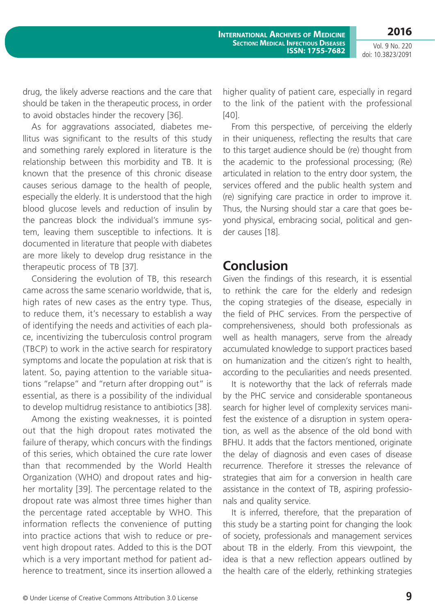**2016**

Vol. 9 No. 220 doi: 10.3823/2091

drug, the likely adverse reactions and the care that should be taken in the therapeutic process, in order to avoid obstacles hinder the recovery [36].

As for aggravations associated, diabetes mellitus was significant to the results of this study and something rarely explored in literature is the relationship between this morbidity and TB. It is known that the presence of this chronic disease causes serious damage to the health of people, especially the elderly. It is understood that the high blood glucose levels and reduction of insulin by the pancreas block the individual's immune system, leaving them susceptible to infections. It is documented in literature that people with diabetes are more likely to develop drug resistance in the therapeutic process of TB [37].

Considering the evolution of TB, this research came across the same scenario worldwide, that is, high rates of new cases as the entry type. Thus, to reduce them, it's necessary to establish a way of identifying the needs and activities of each place, incentivizing the tuberculosis control program (TBCP) to work in the active search for respiratory symptoms and locate the population at risk that is latent. So, paying attention to the variable situations "relapse" and "return after dropping out" is essential, as there is a possibility of the individual to develop multidrug resistance to antibiotics [38].

Among the existing weaknesses, it is pointed out that the high dropout rates motivated the failure of therapy, which concurs with the findings of this series, which obtained the cure rate lower than that recommended by the World Health Organization (WHO) and dropout rates and higher mortality [39]. The percentage related to the dropout rate was almost three times higher than the percentage rated acceptable by WHO. This information reflects the convenience of putting into practice actions that wish to reduce or prevent high dropout rates. Added to this is the DOT which is a very important method for patient adherence to treatment, since its insertion allowed a

higher quality of patient care, especially in regard to the link of the patient with the professional [40].

From this perspective, of perceiving the elderly in their uniqueness, reflecting the results that care to this target audience should be (re) thought from the academic to the professional processing; (Re) articulated in relation to the entry door system, the services offered and the public health system and (re) signifying care practice in order to improve it. Thus, the Nursing should star a care that goes beyond physical, embracing social, political and gender causes [18].

### **Conclusion**

Given the findings of this research, it is essential to rethink the care for the elderly and redesign the coping strategies of the disease, especially in the field of PHC services. From the perspective of comprehensiveness, should both professionals as well as health managers, serve from the already accumulated knowledge to support practices based on humanization and the citizen's right to health, according to the peculiarities and needs presented.

It is noteworthy that the lack of referrals made by the PHC service and considerable spontaneous search for higher level of complexity services manifest the existence of a disruption in system operation, as well as the absence of the old bond with BFHU. It adds that the factors mentioned, originate the delay of diagnosis and even cases of disease recurrence. Therefore it stresses the relevance of strategies that aim for a conversion in health care assistance in the context of TB, aspiring professionals and quality service.

It is inferred, therefore, that the preparation of this study be a starting point for changing the look of society, professionals and management services about TB in the elderly. From this viewpoint, the idea is that a new reflection appears outlined by the health care of the elderly, rethinking strategies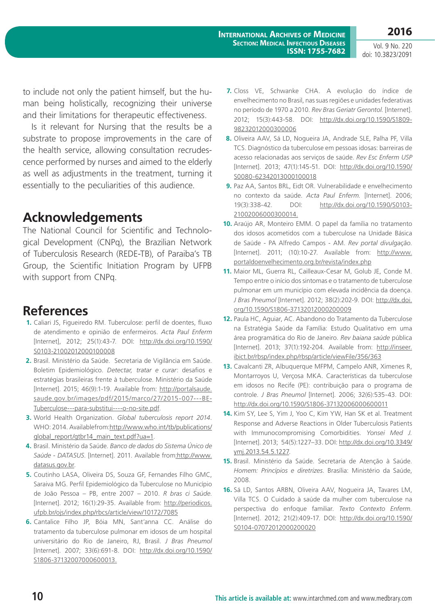**2016**

to include not only the patient himself, but the human being holistically, recognizing their universe and their limitations for therapeutic effectiveness.

Is it relevant for Nursing that the results be a substrate to propose improvements in the care of the health service, allowing consultation recrudescence performed by nurses and aimed to the elderly as well as adjustments in the treatment, turning it essentially to the peculiarities of this audience.

## **Acknowledgements**

The National Council for Scientific and Technological Development (CNPq), the Brazilian Network of Tuberculosis Research (REDE-TB), of Paraiba's TB Group, the Scientific Initiation Program by UFPB with support from CNPq.

## **References**

- **1.** Caliari JS, Figueiredo RM. Tuberculose: perfil de doentes, fluxo de atendimento e opinião de enfermeiros. *Acta Paul Enferm* [Internet], 2012; 25(1):43-7. DOI: [http://dx.doi.org/10.1590/](http://dx.doi.org/10.1590/S0103-21002012000100008) [S0103-21002012000100008](http://dx.doi.org/10.1590/S0103-21002012000100008)
- **2.** Brasil. Ministério da Saúde. Secretaria de Vigilância em Saúde. Boletim Epidemiológico. *Detectar, tratar e curar*: desafios e estratégias brasileiras frente à tuberculose. Ministério da Saúde [Internet]. 2015; 46(9):1-19. Available from: [http://portalsaude.](http://portalsaude.saude.gov.br/images/pdf/2015/marco/27/2015-007---BE-Tuberculose---para-substitui----o-no-site.pdf) [saude.gov.br/images/pdf/2015/marco/27/2015-007---BE-](http://portalsaude.saude.gov.br/images/pdf/2015/marco/27/2015-007---BE-Tuberculose---para-substitui----o-no-site.pdf)[Tuberculose---para-substitui----o-no-site.pdf.](http://portalsaude.saude.gov.br/images/pdf/2015/marco/27/2015-007---BE-Tuberculose---para-substitui----o-no-site.pdf)
- **3.** World Health Organization. *Global tuberculosis report 2014*. WHO: 2014. Availablefrom[:http://www.who.int/tb/publications/](http://www.who.int/tb/publications/global_report/gtbr14_main_text.pdf?ua=1) [global\\_report/gtbr14\\_main\\_text.pdf?ua=1.](http://www.who.int/tb/publications/global_report/gtbr14_main_text.pdf?ua=1)
- **4.** Brasil. Ministério da Saúde. *Banco de dados do Sistema Único de Saúde - DATASUS*. [Internet]. 2011. Available from[:http://www.](http://www.datasus.gov.br) [datasus.gov.br](http://www.datasus.gov.br).
- **5.** Coutinho LASA, Oliveira DS, Souza GF, Fernandes Filho GMC, Saraiva MG. Perfil Epidemiológico da Tuberculose no Município de João Pessoa – PB, entre 2007 – 2010. *R bras ci Saúde*. [Internet]. 2012; 16(1):29-35. Available from: [http://periodicos.](http://periodicos.ufpb.br/ojs/index.php/rbcs/article/view/10172/7085) [ufpb.br/ojs/index.php/rbcs/article/view/10172/7085](http://periodicos.ufpb.br/ojs/index.php/rbcs/article/view/10172/7085)
- **6.** Cantalice Filho JP, Bóia MN, Sant'anna CC. Análise do tratamento da tuberculose pulmonar em idosos de um hospital universitário do Rio de Janeiro, RJ, Brasil. *J Bras Pneumol* [Internet]. 2007; 33(6):691-8. DOI: [http://dx.doi.org/10.1590/](http://dx.doi.org/10.1590/S1806-37132007000600013.) [S1806-37132007000600013.](http://dx.doi.org/10.1590/S1806-37132007000600013.)
- **7.** Closs VE, Schwanke CHA. A evolução do índice de envelhecimento no Brasil, nas suas regiões e unidades federativas no período de 1970 a 2010. *Rev Bras Geriatr Gerontol.* [Internet]. 2012; 15(3):443-58. DOI: [http://dx.doi.org/10.1590/S1809-](http://dx.doi.org/10.1590/S1809-98232012000300006) [98232012000300006](http://dx.doi.org/10.1590/S1809-98232012000300006)
- **8.** Oliveira AAV, Sá LD, Nogueira JA, Andrade SLE, Palha PF, Villa TCS. Diagnóstico da tuberculose em pessoas idosas: barreiras de acesso relacionadas aos serviços de saúde. *Rev Esc Enferm USP* [Internet]. 2013; 47(1):145-51. DOI: [http://dx.doi.org/10.1590/](http://dx.doi.org/10.1590/S0080-62342013000100018) [S0080-62342013000100018](http://dx.doi.org/10.1590/S0080-62342013000100018)
- **9.** Paz AA, Santos BRL, Eidt OR. Vulnerabilidade e envelhecimento no contexto da saúde. *Acta Paul Enferm.* [Internet]. 2006; 19(3):338-42. DOI: [http://dx.doi.org/10.1590/S0103-](http://dx.doi.org/10.1590/S0103-21002006000300014) [21002006000300014.](http://dx.doi.org/10.1590/S0103-21002006000300014)
- **10.** Araújo AR, Monteiro EMM. O papel da família no tratamento dos idosos acometidos com a tuberculose na Unidade Básica de Saúde - PA Alfredo Campos - AM. *Rev portal divulgação*. [Internet]. 2011; (10):10-27. Available from: [http://www.](http://www.portaldoenvelhecimento.org.br/revista/index.php) [portaldoenvelhecimento.org.br/revista/index.php](http://www.portaldoenvelhecimento.org.br/revista/index.php)
- **11.** Maior ML, Guerra RL, Cailleaux-Cesar M, Golub JE, Conde M. Tempo entre o início dos sintomas e o tratamento de tuberculose pulmonar em um município com elevada incidência da doença. *J Bras Pneumol* [Internet]. 2012; 38(2):202-9. DOI: [http://dx.doi.](http://dx.doi.org/10.1590/S1806-37132012000200009) [org/10.1590/S1806-37132012000200009](http://dx.doi.org/10.1590/S1806-37132012000200009)
- **12.** Paula HC, Aguiar, AC. Abandono do Tratamento da Tuberculose na Estratégia Saúde da Família: Estudo Qualitativo em uma área programática do Rio de Janeiro. *Rev baiana saúde* pública [Internet]. 2013; 37(1):192-204. Available from: [http://inseer.](http://inseer.ibict.br/rbsp/index.php/rbsp/article/viewFile/356/363) [ibict.br/rbsp/index.php/rbsp/article/viewFile/356/363](http://inseer.ibict.br/rbsp/index.php/rbsp/article/viewFile/356/363)
- **13.** Cavalcanti ZR, Albuquerque MFPM, Campelo ANR, Ximenes R, Montarroyos U, Verçosa MKA. Características da tuberculose em idosos no Recife (PE): contribuição para o programa de controle. *J Bras Pneumol* [Internet]. 2006; 32(6):535-43. DOI: [http://dx.doi.org/10.1590/S1806-37132006000600011](http://dx.doi.org/10.1590/S1806-37132006000600011.)
- **14.** Kim SY, Lee S, Yim J, Yoo C, Kim YW, Han SK et al. Treatment Response and Adverse Reactions in Older Tuberculosis Patients with Immunocompromising Comorbidities. *Yonsei Med J.* [Internet]. 2013; 54(5):1227–33. DOI: http://dx.doi.org/[10.3349/](http://dx.doi.org/10.3349%2Fymj.2013.54.5.1227) [ymj.2013.54.5.1227.](http://dx.doi.org/10.3349%2Fymj.2013.54.5.1227)
- **15.** Brasil. Ministério da Saúde. Secretaria de Atenção à Saúde. *Homem: Princípios e diretrizes*. Brasília: Ministério da Saúde, 2008.
- **16.** Sá LD, Santos ARBN, Oliveira AAV, Nogueira JA, Tavares LM, Villa TCS. O Cuidado à saúde da mulher com tuberculose na perspectiva do enfoque familiar. *Texto Contexto Enferm.* [Internet]. 2012; 21(2):409-17. DOI: [http://dx.doi.org/10.1590/](http://dx.doi.org/10.1590/S0104-07072012000200020) [S0104-07072012000200020](http://dx.doi.org/10.1590/S0104-07072012000200020)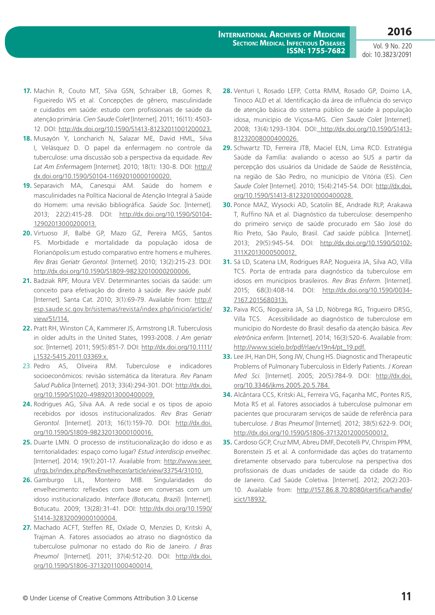- **17.** Machin R, Couto MT, Silva GSN, Schraiber LB, Gomes R, Figueiredo WS et al. Concepções de gênero, masculinidade e cuidados em saúde: estudo com profissionais de saúde da atenção primária. *Cien Saude Colet* [Internet]. 2011; 16(11): 4503- 12. DOI:<http://dx.doi.org/10.1590/S1413-81232011001200023>.
- **18.** Musayón Y, Loncharich N, Salazar ME, David HML, Silva I, Velásquez D. O papel da enfermagem no controle da tuberculose: uma discussão sob a perspectiva da equidade. *Rev Lat Am Enfermagem* [Internet]. 2010; 18(1): 130-8. DOI: [http://](http://dx.doi.org/10.1590/S0104-11692010000100020) [dx.doi.org/10.1590/S0104-11692010000100020](http://dx.doi.org/10.1590/S0104-11692010000100020).
- **19.** Separavich MA, Canesqui AM. Saúde do homem e masculinidades na Política Nacional de Atenção Integral à Saúde do Homem: uma revisão bibliográfica. *Saúde Soc*. [Internet]. 2013; 22(2):415-28. DOI: [http://dx.doi.org/10.1590/S0104-](http://dx.doi.org/10.1590/S0104-12902013000200013) [12902013000200013.](http://dx.doi.org/10.1590/S0104-12902013000200013)
- **20.** Virtuoso JF, Balbé GP, Mazo GZ, Pereira MGS, Santos FS. Morbidade e mortalidade da população idosa de Florianópolis:um estudo comparativo entre homens e mulheres. *Rev Bras Geriatr Gerontol.* [Internet]. 2010; 13(2):215-23. DOI: [http://dx.doi.org/10.1590/S1809-98232010000200006.](http://dx.doi.org/10.1590/S1809-98232010000200006)
- **21.** Badziak RPF, Moura VEV. Determinantes sociais da saúde: um conceito para efetivação do direito à saúde. *Rev saúde publ*. [Internet]. Santa Cat. 2010; 3(1):69-79. Available from: [http://](http://esp.saude.sc.gov.br/sistemas/revista/index.php/inicio/article/view/51/114) [esp.saude.sc.gov.br/sistemas/revista/index.php/inicio/article/](http://esp.saude.sc.gov.br/sistemas/revista/index.php/inicio/article/view/51/114) [view/51/114](http://esp.saude.sc.gov.br/sistemas/revista/index.php/inicio/article/view/51/114).
- **22.** Pratt RH, Winston CA, Kammerer JS, Armstrong LR. Tuberculosis in older adults in the United States, 1993-2008. *J Am geriatr soc*. [Internet]. 2011; 59(5):851-7. DOI: [http://dx.doi.org/10.1111/](http://dx.doi.org/10.1111/j.1532-5415.2011.03369.x) [j.1532-5415.2011.03369.x.](http://dx.doi.org/10.1111/j.1532-5415.2011.03369.x)
- 23. Pedro AS, Oliveira RM. Tuberculose e indicadores socioeconômicos: revisão sistemática da literatura. *Rev Panam Salud Publica* [Internet]. 2013; 33(4):294-301. DOI: [http://dx.doi.](http://dx.doi.org/10.1590/S1020-49892013000400009) [org/10.1590/S1020-49892013000400009.](http://dx.doi.org/10.1590/S1020-49892013000400009)
- **24.** Rodrigues AG, Silva AA. A rede social e os tipos de apoio recebidos por idosos institucionalizados. *Rev Bras Geriatr Gerontol.* [Internet]. 2013; 16(1):159-70. DOI: [http://dx.doi.](http://dx.doi.org/10.1590/S1809-98232013000100016) [org/10.1590/S1809-98232013000100016](http://dx.doi.org/10.1590/S1809-98232013000100016).
- **25.** Duarte LMN. O processo de institucionalização do idoso e as territorialidades: espaço como lugar? *Estud interdiscip envelhec*. [Internet]. 2014; 19(1):201-17. Available from: [http://www.seer.](http://www.seer.ufrgs.br/index.php/RevEnvelhecer/article/view/33754/31010) [ufrgs.br/index.php/RevEnvelhecer/article/view/33754/31010](http://www.seer.ufrgs.br/index.php/RevEnvelhecer/article/view/33754/31010).
- **26.** Gamburgo LJL, Monteiro MIB. Singularidades do envelhecimento: reflexões com base em conversas com um idoso institucionalizado. *Interface (Botucatu, Brazil).* [Internet]. Botucatu. 2009; 13(28):31-41. DOI: [http://dx.doi.org/10.1590/](http://dx.doi.org/10.1590/S1414-32832009000100004) [S1414-32832009000100004.](http://dx.doi.org/10.1590/S1414-32832009000100004)
- **27.** Machado ACFT, Steffen RE, Oxlade O, Menzies D, Kritski A, Trajman A. Fatores associados ao atraso no diagnóstico da tuberculose pulmonar no estado do Rio de Janeiro. *J Bras Pneumol* [Internet]. 2011; 37(4):512-20. DOI: [http://dx.doi.](http://dx.doi.org/10.1590/S1806-37132011000400014) [org/10.1590/S1806-37132011000400014](http://dx.doi.org/10.1590/S1806-37132011000400014).
- **28.** Venturi I, Rosado LEFP, Cotta RMM, Rosado GP, Doimo LA, Tinoco ALD et al. Identificação da área de influência do serviço de atenção básica do sistema público de saúde à população idosa, município de Viçosa-MG. *Cien Saude Colet* [Internet]. 2008; 13(4):1293-1304. DOI: [http://dx.doi.org/10.1590/S1413-](http://dx.doi.org/10.1590/S1413-81232008000400026) [81232008000400026.](http://dx.doi.org/10.1590/S1413-81232008000400026)
- **29.** Schwartz TD, Ferreira JTB, Maciel ELN, Lima RCD. Estratégia Saúde da Família: avaliando o acesso ao SUS a partir da percepção dos usuários da Unidade de Saúde de Resistência, na região de São Pedro, no município de Vitória (ES). *Cien Saude Colet* [Internet]. 2010; 15(4):2145-54. DOI: [http://dx.doi.](http://dx.doi.org/10.1590/S1413-81232010000400028) [org/10.1590/S1413-81232010000400028.](http://dx.doi.org/10.1590/S1413-81232010000400028)
- **30.** Ponce MAZ, Wysocki AD, Scatolin BE, Andrade RLP, Arakawa T, Ruffino NA et al. Diagnóstico da tuberculose: desempenho do primeiro serviço de saúde procurado em São José do Rio Preto, São Paulo, Brasil. *Cad saúde* pública. [Internet]. 2013; 29(5):945-54. DOI: [http://dx.doi.org/10.1590/S0102-](http://dx.doi.org/10.1590/S0102-311X2013000500012) [311X2013000500012.](http://dx.doi.org/10.1590/S0102-311X2013000500012)
- **31.** Sá LD, Scatena LM, Rodrigues RAP, Nogueira JA, Silva AO, Villa TCS. Porta de entrada para diagnóstico da tuberculose em idosos em municípios brasileiros. *Rev Bras Enferm.* [Internet]. 2015; 68(3):408-14. DOI: [http://dx.doi.org/10.1590/0034-](http://dx.doi.org/10.1590/0034-7167.2015680313i) [7167.2015680313i.](http://dx.doi.org/10.1590/0034-7167.2015680313i)
- **32.** Paiva RCG, Nogueira JA, Sá LD, Nóbrega RG, Trigueiro DRSG, Villa TCS. Acessibilidade ao diagnóstico de tuberculose em município do Nordeste do Brasil: desafio da atenção básica. *Rev eletrônica enferm*. [Internet]. 2014; 16(3):520-6. Available from: [http://www.scielo.br/pdf/rlae/v19n4/pt\\_19.pdf](http://www.scielo.br/pdf/rlae/v19n4/pt_19.pdf).
- **33.** Lee JH, Han DH, Song JW, Chung HS. Diagnostic and Therapeutic Problems of Pulmonary Tuberculosis in Elderly Patients. *J Korean Med Sci*. [Internet]. 2005; 20(5):784-9. DOI: http://dx.doi. org/[10.3346/jkms.2005.20.5.784](http://dx.doi.org/10.3346%2Fjkms.2005.20.5.784).
- **34.** Alcântara CCS, Kritski AL, Ferreira VG, Façanha MC, Pontes RJS, Mota RS et al. Fatores associados à tuberculose pulmonar em pacientes que procuraram serviços de saúde de referência para tuberculose. *J Bras Pneumol* [Internet]. 2012; 38(5):622-9. DOI: <http://dx.doi.org/10.1590/S1806-37132012000500012>.
- **35.** Cardoso GCP, Cruz MM, Abreu DMF, Decotelli PV, Chrispim PPM, Borenstein JS et al. A conformidade das ações do tratamento diretamente observado para tuberculose na perspectiva dos profissionais de duas unidades de saúde da cidade do Rio de Janeiro. Cad Saúde Coletiva. [Internet]. 2012; 20(2):203- 10. Available from: [http://157.86.8.70:8080/certifica/handle/](http://157.86.8.70:8080/certifica/handle/icict/18932.) [icict/18932.](http://157.86.8.70:8080/certifica/handle/icict/18932.)